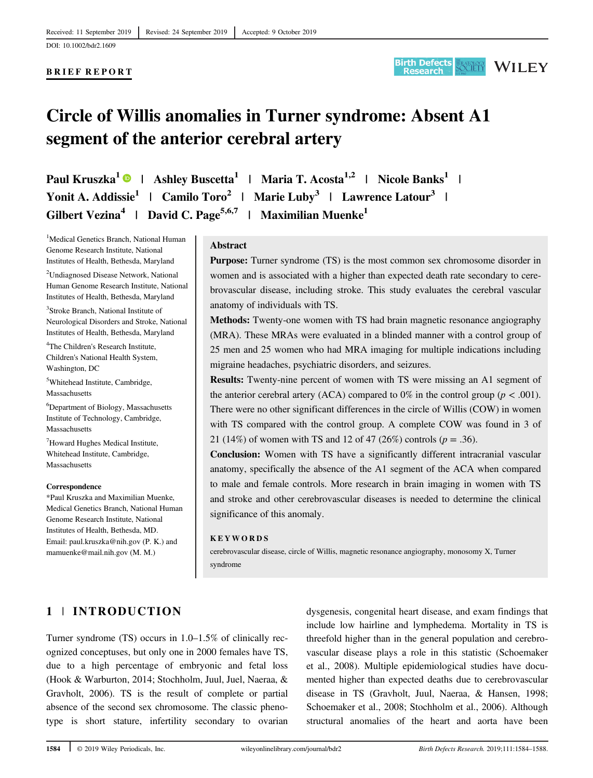DOI: 10.1002/bdr2.1609

## BRIEF REPORT



# Circle of Willis anomalies in Turner syndrome: Absent A1 segment of the anterior cerebral artery

Paul Kruszka<sup>1</sup> | Ashley Buscetta<sup>1</sup> | Maria T. Acosta<sup>1,2</sup> | Nicole Banks<sup>1</sup> | Yonit A. Addissie<sup>1</sup> | Camilo Toro<sup>2</sup> | Marie Luby<sup>3</sup> | Lawrence Latour<sup>3</sup> | Gilbert Vezina<sup>4</sup> | David C. Page<sup>5,6,7</sup> | Maximilian Muenke<sup>1</sup>

<sup>1</sup>Medical Genetics Branch, National Human Genome Research Institute, National Institutes of Health, Bethesda, Maryland

<sup>2</sup>Undiagnosed Disease Network, National Human Genome Research Institute, National Institutes of Health, Bethesda, Maryland

3 Stroke Branch, National Institute of Neurological Disorders and Stroke, National Institutes of Health, Bethesda, Maryland

4 The Children's Research Institute, Children's National Health System, Washington, DC

5 Whitehead Institute, Cambridge, **Massachusetts** 

6 Department of Biology, Massachusetts Institute of Technology, Cambridge, Massachusetts

7 Howard Hughes Medical Institute, Whitehead Institute, Cambridge, Massachusetts

#### Correspondence

\*Paul Kruszka and Maximilian Muenke, Medical Genetics Branch, National Human Genome Research Institute, National Institutes of Health, Bethesda, MD. Email: [paul.kruszka@nih.gov](mailto:paul.kruszka@nih.gov) (P. K.) and [mamuenke@mail.nih.gov](mailto:mamuenke@mail.nih.gov) (M. M.)

#### Abstract

Purpose: Turner syndrome (TS) is the most common sex chromosome disorder in women and is associated with a higher than expected death rate secondary to cerebrovascular disease, including stroke. This study evaluates the cerebral vascular anatomy of individuals with TS.

Methods: Twenty-one women with TS had brain magnetic resonance angiography (MRA). These MRAs were evaluated in a blinded manner with a control group of 25 men and 25 women who had MRA imaging for multiple indications including migraine headaches, psychiatric disorders, and seizures.

Results: Twenty-nine percent of women with TS were missing an A1 segment of the anterior cerebral artery (ACA) compared to 0% in the control group ( $p < .001$ ). There were no other significant differences in the circle of Willis (COW) in women with TS compared with the control group. A complete COW was found in 3 of 21 (14%) of women with TS and 12 of 47 (26%) controls ( $p = .36$ ).

Conclusion: Women with TS have a significantly different intracranial vascular anatomy, specifically the absence of the A1 segment of the ACA when compared to male and female controls. More research in brain imaging in women with TS and stroke and other cerebrovascular diseases is needed to determine the clinical significance of this anomaly.

#### KEYWORDS

cerebrovascular disease, circle of Willis, magnetic resonance angiography, monosomy X, Turner syndrome

# 1 | INTRODUCTION

Turner syndrome (TS) occurs in 1.0–1.5% of clinically recognized conceptuses, but only one in 2000 females have TS, due to a high percentage of embryonic and fetal loss (Hook & Warburton, 2014; Stochholm, Juul, Juel, Naeraa, & Gravholt, 2006). TS is the result of complete or partial absence of the second sex chromosome. The classic phenotype is short stature, infertility secondary to ovarian

dysgenesis, congenital heart disease, and exam findings that include low hairline and lymphedema. Mortality in TS is threefold higher than in the general population and cerebrovascular disease plays a role in this statistic (Schoemaker et al., 2008). Multiple epidemiological studies have documented higher than expected deaths due to cerebrovascular disease in TS (Gravholt, Juul, Naeraa, & Hansen, 1998; Schoemaker et al., 2008; Stochholm et al., 2006). Although structural anomalies of the heart and aorta have been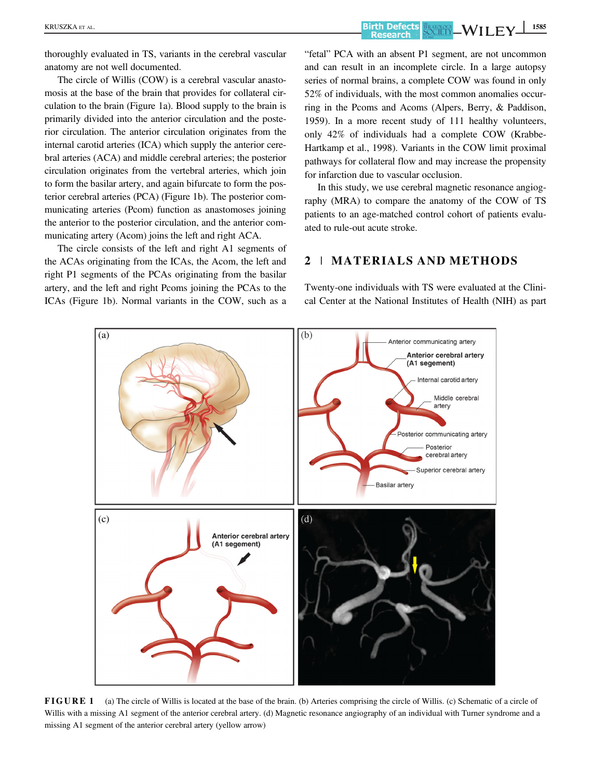KRUSZKA ET AL. **1585**<br>Research Society — WILEY 1585

thoroughly evaluated in TS, variants in the cerebral vascular anatomy are not well documented.

The circle of Willis (COW) is a cerebral vascular anastomosis at the base of the brain that provides for collateral circulation to the brain (Figure 1a). Blood supply to the brain is primarily divided into the anterior circulation and the posterior circulation. The anterior circulation originates from the internal carotid arteries (ICA) which supply the anterior cerebral arteries (ACA) and middle cerebral arteries; the posterior circulation originates from the vertebral arteries, which join to form the basilar artery, and again bifurcate to form the posterior cerebral arteries (PCA) (Figure 1b). The posterior communicating arteries (Pcom) function as anastomoses joining the anterior to the posterior circulation, and the anterior communicating artery (Acom) joins the left and right ACA.

The circle consists of the left and right A1 segments of the ACAs originating from the ICAs, the Acom, the left and right P1 segments of the PCAs originating from the basilar artery, and the left and right Pcoms joining the PCAs to the ICAs (Figure 1b). Normal variants in the COW, such as a "fetal" PCA with an absent P1 segment, are not uncommon and can result in an incomplete circle. In a large autopsy series of normal brains, a complete COW was found in only 52% of individuals, with the most common anomalies occurring in the Pcoms and Acoms (Alpers, Berry, & Paddison, 1959). In a more recent study of 111 healthy volunteers, only 42% of individuals had a complete COW (Krabbe-Hartkamp et al., 1998). Variants in the COW limit proximal pathways for collateral flow and may increase the propensity for infarction due to vascular occlusion.

In this study, we use cerebral magnetic resonance angiography (MRA) to compare the anatomy of the COW of TS patients to an age-matched control cohort of patients evaluated to rule-out acute stroke.

# 2 | MATERIALS AND METHODS

Twenty-one individuals with TS were evaluated at the Clinical Center at the National Institutes of Health (NIH) as part



FIGURE 1 (a) The circle of Willis is located at the base of the brain. (b) Arteries comprising the circle of Willis. (c) Schematic of a circle of Willis with a missing A1 segment of the anterior cerebral artery. (d) Magnetic resonance angiography of an individual with Turner syndrome and a missing A1 segment of the anterior cerebral artery (yellow arrow)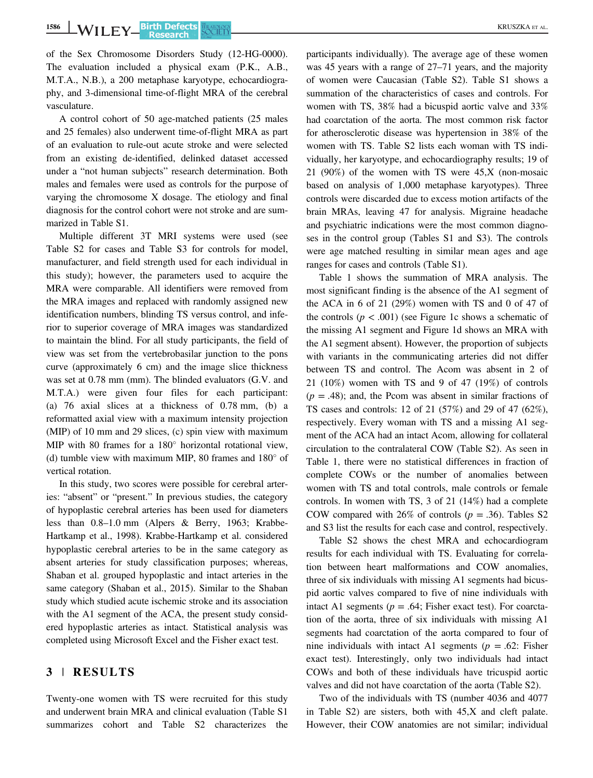of the Sex Chromosome Disorders Study (12-HG-0000). The evaluation included a physical exam (P.K., A.B., M.T.A., N.B.), a 200 metaphase karyotype, echocardiography, and 3-dimensional time-of-flight MRA of the cerebral vasculature.

A control cohort of 50 age-matched patients (25 males and 25 females) also underwent time-of-flight MRA as part of an evaluation to rule-out acute stroke and were selected from an existing de-identified, delinked dataset accessed under a "not human subjects" research determination. Both males and females were used as controls for the purpose of varying the chromosome X dosage. The etiology and final diagnosis for the control cohort were not stroke and are summarized in Table S1.

Multiple different 3T MRI systems were used (see Table S2 for cases and Table S3 for controls for model, manufacturer, and field strength used for each individual in this study); however, the parameters used to acquire the MRA were comparable. All identifiers were removed from the MRA images and replaced with randomly assigned new identification numbers, blinding TS versus control, and inferior to superior coverage of MRA images was standardized to maintain the blind. For all study participants, the field of view was set from the vertebrobasilar junction to the pons curve (approximately 6 cm) and the image slice thickness was set at 0.78 mm (mm). The blinded evaluators (G.V. and M.T.A.) were given four files for each participant: (a) 76 axial slices at a thickness of 0.78 mm, (b) a reformatted axial view with a maximum intensity projection (MIP) of 10 mm and 29 slices, (c) spin view with maximum MIP with 80 frames for a  $180^\circ$  horizontal rotational view, (d) tumble view with maximum MIP, 80 frames and  $180^\circ$  of vertical rotation.

In this study, two scores were possible for cerebral arteries: "absent" or "present." In previous studies, the category of hypoplastic cerebral arteries has been used for diameters less than 0.8–1.0 mm (Alpers & Berry, 1963; Krabbe-Hartkamp et al., 1998). Krabbe-Hartkamp et al. considered hypoplastic cerebral arteries to be in the same category as absent arteries for study classification purposes; whereas, Shaban et al. grouped hypoplastic and intact arteries in the same category (Shaban et al., 2015). Similar to the Shaban study which studied acute ischemic stroke and its association with the A1 segment of the ACA, the present study considered hypoplastic arteries as intact. Statistical analysis was completed using Microsoft Excel and the Fisher exact test.

## 3 | RESULTS

Twenty-one women with TS were recruited for this study and underwent brain MRA and clinical evaluation (Table S1 summarizes cohort and Table S2 characterizes the participants individually). The average age of these women was 45 years with a range of 27–71 years, and the majority of women were Caucasian (Table S2). Table S1 shows a summation of the characteristics of cases and controls. For women with TS, 38% had a bicuspid aortic valve and 33% had coarctation of the aorta. The most common risk factor for atherosclerotic disease was hypertension in 38% of the women with TS. Table S2 lists each woman with TS individually, her karyotype, and echocardiography results; 19 of 21 (90%) of the women with TS were 45,X (non-mosaic based on analysis of 1,000 metaphase karyotypes). Three controls were discarded due to excess motion artifacts of the brain MRAs, leaving 47 for analysis. Migraine headache and psychiatric indications were the most common diagnoses in the control group (Tables S1 and S3). The controls were age matched resulting in similar mean ages and age ranges for cases and controls (Table S1).

Table 1 shows the summation of MRA analysis. The most significant finding is the absence of the A1 segment of the ACA in 6 of 21 (29%) women with TS and 0 of 47 of the controls  $(p < .001)$  (see Figure 1c shows a schematic of the missing A1 segment and Figure 1d shows an MRA with the A1 segment absent). However, the proportion of subjects with variants in the communicating arteries did not differ between TS and control. The Acom was absent in 2 of 21 (10%) women with TS and 9 of 47 (19%) of controls  $(p = .48)$ ; and, the Pcom was absent in similar fractions of TS cases and controls: 12 of 21 (57%) and 29 of 47 (62%), respectively. Every woman with TS and a missing A1 segment of the ACA had an intact Acom, allowing for collateral circulation to the contralateral COW (Table S2). As seen in Table 1, there were no statistical differences in fraction of complete COWs or the number of anomalies between women with TS and total controls, male controls or female controls. In women with TS, 3 of 21 (14%) had a complete COW compared with 26% of controls ( $p = .36$ ). Tables S2 and S3 list the results for each case and control, respectively.

Table S2 shows the chest MRA and echocardiogram results for each individual with TS. Evaluating for correlation between heart malformations and COW anomalies, three of six individuals with missing A1 segments had bicuspid aortic valves compared to five of nine individuals with intact A1 segments ( $p = .64$ ; Fisher exact test). For coarctation of the aorta, three of six individuals with missing A1 segments had coarctation of the aorta compared to four of nine individuals with intact A1 segments ( $p = .62$ : Fisher exact test). Interestingly, only two individuals had intact COWs and both of these individuals have tricuspid aortic valves and did not have coarctation of the aorta (Table S2).

Two of the individuals with TS (number 4036 and 4077 in Table S2) are sisters, both with 45,X and cleft palate. However, their COW anatomies are not similar; individual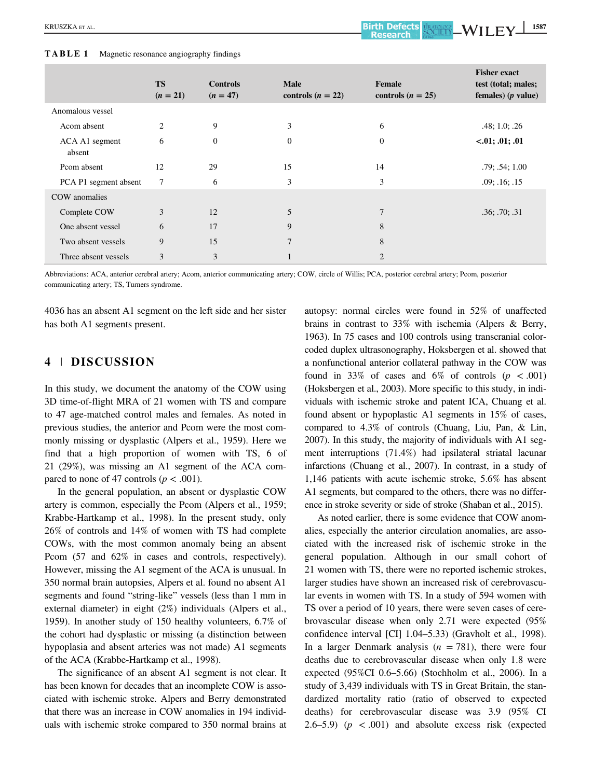### TABLE 1 Magnetic resonance angiography findings

| $\tilde{\phantom{a}}$    | <u>.</u>                |                               |                                    |                               |                                                                    |
|--------------------------|-------------------------|-------------------------------|------------------------------------|-------------------------------|--------------------------------------------------------------------|
|                          | <b>TS</b><br>$(n = 21)$ | <b>Controls</b><br>$(n = 47)$ | <b>Male</b><br>controls $(n = 22)$ | Female<br>controls $(n = 25)$ | <b>Fisher exact</b><br>test (total; males;<br>females) $(p$ value) |
| Anomalous vessel         |                         |                               |                                    |                               |                                                                    |
| Acom absent              | 2                       | 9                             | 3                                  | 6                             | .48; 1.0; .26                                                      |
| ACA A1 segment<br>absent | 6                       | $\theta$                      | $\overline{0}$                     | $\overline{0}$                | $-.01; .01; .01$                                                   |
| Pcom absent              | 12                      | 29                            | 15                                 | 14                            | .79; .54; 1.00                                                     |
| PCA P1 segment absent    | 7                       | 6                             | 3                                  | 3                             | .09; .16; .15                                                      |
| COW anomalies            |                         |                               |                                    |                               |                                                                    |

Abbreviations: ACA, anterior cerebral artery; Acom, anterior communicating artery; COW, circle of Willis; PCA, posterior cerebral artery; Pcom, posterior communicating artery; TS, Turners syndrome.

One absent vessel 6 17 9 8 Two absent vessels 9 15 7 8 Three absent vessels 3 3 3 1 2 2

Complete COW 3 12 5 7 .36; .70; .31

4036 has an absent A1 segment on the left side and her sister has both A1 segments present.

# 4 | DISCUSSION

In this study, we document the anatomy of the COW using 3D time-of-flight MRA of 21 women with TS and compare to 47 age-matched control males and females. As noted in previous studies, the anterior and Pcom were the most commonly missing or dysplastic (Alpers et al., 1959). Here we find that a high proportion of women with TS, 6 of 21 (29%), was missing an A1 segment of the ACA compared to none of 47 controls ( $p < .001$ ).

In the general population, an absent or dysplastic COW artery is common, especially the Pcom (Alpers et al., 1959; Krabbe-Hartkamp et al., 1998). In the present study, only 26% of controls and 14% of women with TS had complete COWs, with the most common anomaly being an absent Pcom  $(57 \text{ and } 62\% \text{ in cases and controls, respectively}).$ However, missing the A1 segment of the ACA is unusual. In 350 normal brain autopsies, Alpers et al. found no absent A1 segments and found "string-like" vessels (less than 1 mm in external diameter) in eight (2%) individuals (Alpers et al., 1959). In another study of 150 healthy volunteers, 6.7% of the cohort had dysplastic or missing (a distinction between hypoplasia and absent arteries was not made) A1 segments of the ACA (Krabbe-Hartkamp et al., 1998).

The significance of an absent A1 segment is not clear. It has been known for decades that an incomplete COW is associated with ischemic stroke. Alpers and Berry demonstrated that there was an increase in COW anomalies in 194 individuals with ischemic stroke compared to 350 normal brains at

autopsy: normal circles were found in 52% of unaffected brains in contrast to 33% with ischemia (Alpers & Berry, 1963). In 75 cases and 100 controls using transcranial colorcoded duplex ultrasonography, Hoksbergen et al. showed that a nonfunctional anterior collateral pathway in the COW was found in 33% of cases and 6% of controls  $(p < .001)$ (Hoksbergen et al., 2003). More specific to this study, in individuals with ischemic stroke and patent ICA, Chuang et al. found absent or hypoplastic A1 segments in 15% of cases, compared to 4.3% of controls (Chuang, Liu, Pan, & Lin, 2007). In this study, the majority of individuals with A1 segment interruptions (71.4%) had ipsilateral striatal lacunar infarctions (Chuang et al., 2007). In contrast, in a study of 1,146 patients with acute ischemic stroke, 5.6% has absent A1 segments, but compared to the others, there was no difference in stroke severity or side of stroke (Shaban et al., 2015).

As noted earlier, there is some evidence that COW anomalies, especially the anterior circulation anomalies, are associated with the increased risk of ischemic stroke in the general population. Although in our small cohort of 21 women with TS, there were no reported ischemic strokes, larger studies have shown an increased risk of cerebrovascular events in women with TS. In a study of 594 women with TS over a period of 10 years, there were seven cases of cerebrovascular disease when only 2.71 were expected (95% confidence interval [CI] 1.04–5.33) (Gravholt et al., 1998). In a larger Denmark analysis  $(n = 781)$ , there were four deaths due to cerebrovascular disease when only 1.8 were expected (95%CI 0.6–5.66) (Stochholm et al., 2006). In a study of 3,439 individuals with TS in Great Britain, the standardized mortality ratio (ratio of observed to expected deaths) for cerebrovascular disease was 3.9 (95% CI 2.6–5.9)  $(p \lt 0.001)$  and absolute excess risk (expected